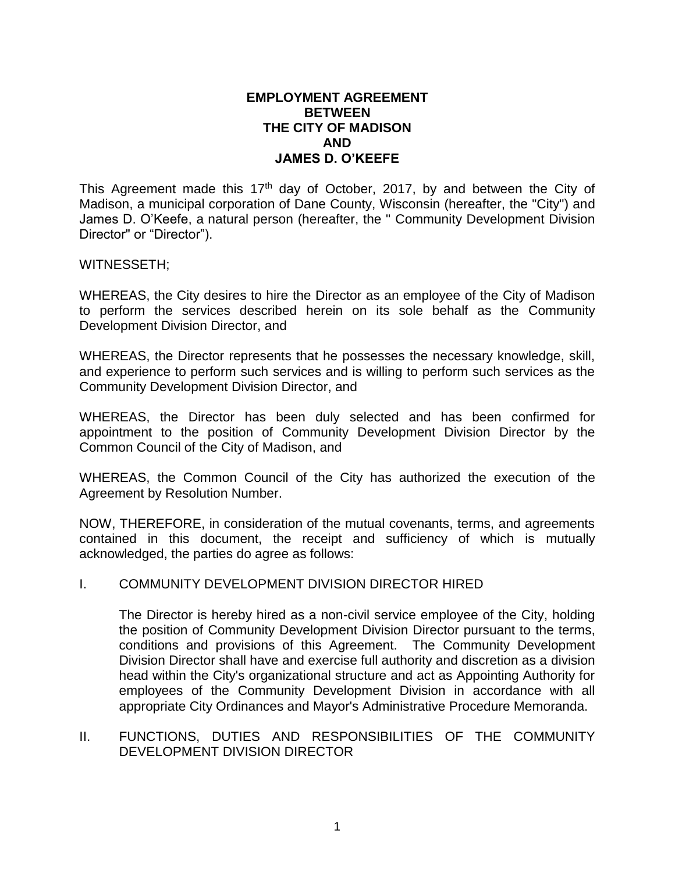## **EMPLOYMENT AGREEMENT BETWEEN THE CITY OF MADISON AND JAMES D. O'KEEFE**

This Agreement made this 17<sup>th</sup> day of October, 2017, by and between the City of Madison, a municipal corporation of Dane County, Wisconsin (hereafter, the "City") and James D. O'Keefe, a natural person (hereafter, the " Community Development Division Director" or "Director").

#### WITNESSETH;

WHEREAS, the City desires to hire the Director as an employee of the City of Madison to perform the services described herein on its sole behalf as the Community Development Division Director, and

WHEREAS, the Director represents that he possesses the necessary knowledge, skill, and experience to perform such services and is willing to perform such services as the Community Development Division Director, and

WHEREAS, the Director has been duly selected and has been confirmed for appointment to the position of Community Development Division Director by the Common Council of the City of Madison, and

WHEREAS, the Common Council of the City has authorized the execution of the Agreement by Resolution Number.

NOW, THEREFORE, in consideration of the mutual covenants, terms, and agreements contained in this document, the receipt and sufficiency of which is mutually acknowledged, the parties do agree as follows:

#### I. COMMUNITY DEVELOPMENT DIVISION DIRECTOR HIRED

The Director is hereby hired as a non-civil service employee of the City, holding the position of Community Development Division Director pursuant to the terms, conditions and provisions of this Agreement. The Community Development Division Director shall have and exercise full authority and discretion as a division head within the City's organizational structure and act as Appointing Authority for employees of the Community Development Division in accordance with all appropriate City Ordinances and Mayor's Administrative Procedure Memoranda.

# II. FUNCTIONS, DUTIES AND RESPONSIBILITIES OF THE COMMUNITY DEVELOPMENT DIVISION DIRECTOR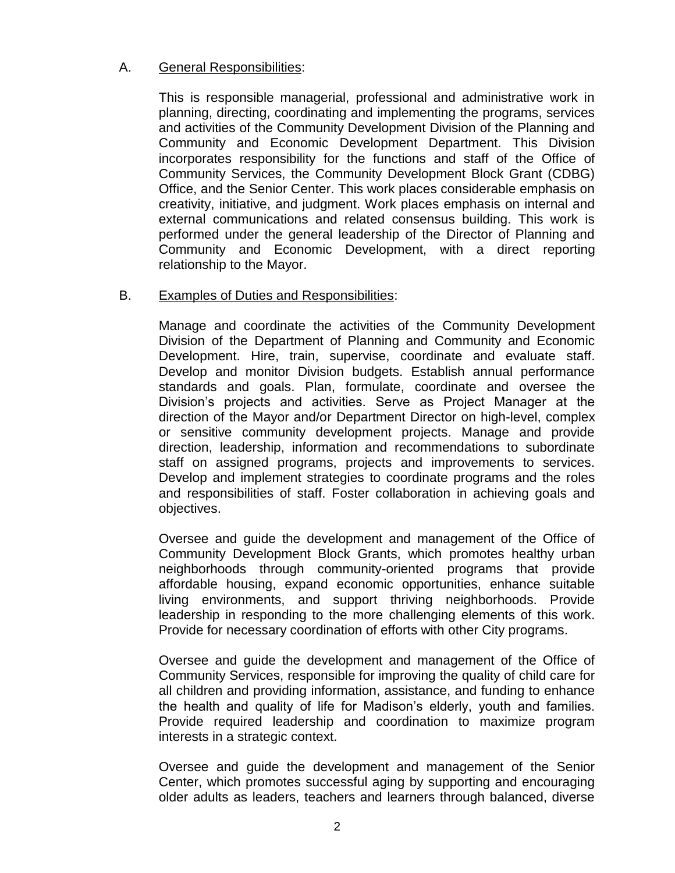# A. General Responsibilities:

This is responsible managerial, professional and administrative work in planning, directing, coordinating and implementing the programs, services and activities of the Community Development Division of the Planning and Community and Economic Development Department. This Division incorporates responsibility for the functions and staff of the Office of Community Services, the Community Development Block Grant (CDBG) Office, and the Senior Center. This work places considerable emphasis on creativity, initiative, and judgment. Work places emphasis on internal and external communications and related consensus building. This work is performed under the general leadership of the Director of Planning and Community and Economic Development, with a direct reporting relationship to the Mayor.

# B. Examples of Duties and Responsibilities:

Manage and coordinate the activities of the Community Development Division of the Department of Planning and Community and Economic Development. Hire, train, supervise, coordinate and evaluate staff. Develop and monitor Division budgets. Establish annual performance standards and goals. Plan, formulate, coordinate and oversee the Division's projects and activities. Serve as Project Manager at the direction of the Mayor and/or Department Director on high-level, complex or sensitive community development projects. Manage and provide direction, leadership, information and recommendations to subordinate staff on assigned programs, projects and improvements to services. Develop and implement strategies to coordinate programs and the roles and responsibilities of staff. Foster collaboration in achieving goals and objectives.

Oversee and guide the development and management of the Office of Community Development Block Grants, which promotes healthy urban neighborhoods through community-oriented programs that provide affordable housing, expand economic opportunities, enhance suitable living environments, and support thriving neighborhoods. Provide leadership in responding to the more challenging elements of this work. Provide for necessary coordination of efforts with other City programs.

Oversee and guide the development and management of the Office of Community Services, responsible for improving the quality of child care for all children and providing information, assistance, and funding to enhance the health and quality of life for Madison's elderly, youth and families. Provide required leadership and coordination to maximize program interests in a strategic context.

Oversee and guide the development and management of the Senior Center, which promotes successful aging by supporting and encouraging older adults as leaders, teachers and learners through balanced, diverse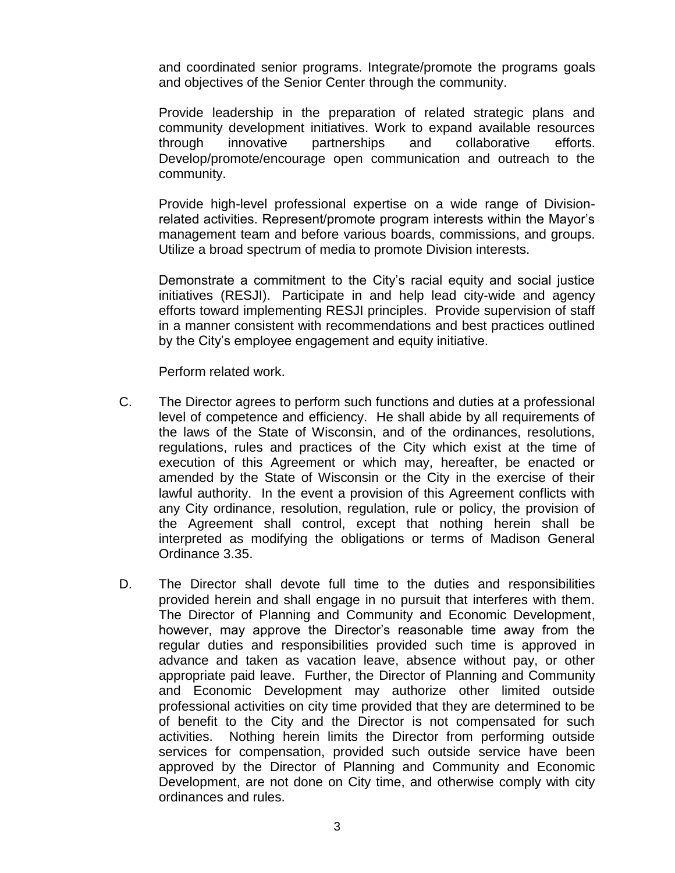and coordinated senior programs. Integrate/promote the programs goals and objectives of the Senior Center through the community.

Provide leadership in the preparation of related strategic plans and community development initiatives. Work to expand available resources through innovative partnerships and collaborative efforts. Develop/promote/encourage open communication and outreach to the community.

Provide high-level professional expertise on a wide range of Divisionrelated activities. Represent/promote program interests within the Mayor's management team and before various boards, commissions, and groups. Utilize a broad spectrum of media to promote Division interests.

Demonstrate a commitment to the City's racial equity and social justice initiatives (RESJI). Participate in and help lead city-wide and agency efforts toward implementing RESJI principles. Provide supervision of staff in a manner consistent with recommendations and best practices outlined by the City's employee engagement and equity initiative.

Perform related work.

- C. The Director agrees to perform such functions and duties at a professional level of competence and efficiency. He shall abide by all requirements of the laws of the State of Wisconsin, and of the ordinances, resolutions, regulations, rules and practices of the City which exist at the time of execution of this Agreement or which may, hereafter, be enacted or amended by the State of Wisconsin or the City in the exercise of their lawful authority. In the event a provision of this Agreement conflicts with any City ordinance, resolution, regulation, rule or policy, the provision of the Agreement shall control, except that nothing herein shall be interpreted as modifying the obligations or terms of Madison General Ordinance 3.35.
- D. The Director shall devote full time to the duties and responsibilities provided herein and shall engage in no pursuit that interferes with them. The Director of Planning and Community and Economic Development, however, may approve the Director's reasonable time away from the regular duties and responsibilities provided such time is approved in advance and taken as vacation leave, absence without pay, or other appropriate paid leave. Further, the Director of Planning and Community and Economic Development may authorize other limited outside professional activities on city time provided that they are determined to be of benefit to the City and the Director is not compensated for such activities. Nothing herein limits the Director from performing outside services for compensation, provided such outside service have been approved by the Director of Planning and Community and Economic Development, are not done on City time, and otherwise comply with city ordinances and rules.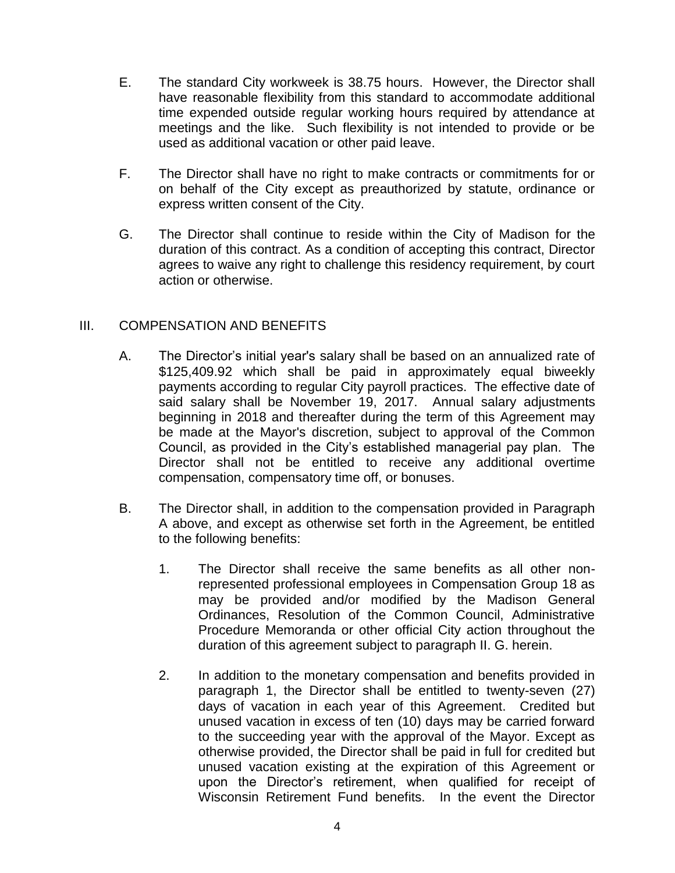- E. The standard City workweek is 38.75 hours. However, the Director shall have reasonable flexibility from this standard to accommodate additional time expended outside regular working hours required by attendance at meetings and the like. Such flexibility is not intended to provide or be used as additional vacation or other paid leave.
- F. The Director shall have no right to make contracts or commitments for or on behalf of the City except as preauthorized by statute, ordinance or express written consent of the City.
- G. The Director shall continue to reside within the City of Madison for the duration of this contract. As a condition of accepting this contract, Director agrees to waive any right to challenge this residency requirement, by court action or otherwise.

# III. COMPENSATION AND BENEFITS

- A. The Director's initial year's salary shall be based on an annualized rate of \$125,409.92 which shall be paid in approximately equal biweekly payments according to regular City payroll practices. The effective date of said salary shall be November 19, 2017. Annual salary adjustments beginning in 2018 and thereafter during the term of this Agreement may be made at the Mayor's discretion, subject to approval of the Common Council, as provided in the City's established managerial pay plan. The Director shall not be entitled to receive any additional overtime compensation, compensatory time off, or bonuses.
- B. The Director shall, in addition to the compensation provided in Paragraph A above, and except as otherwise set forth in the Agreement, be entitled to the following benefits:
	- 1. The Director shall receive the same benefits as all other nonrepresented professional employees in Compensation Group 18 as may be provided and/or modified by the Madison General Ordinances, Resolution of the Common Council, Administrative Procedure Memoranda or other official City action throughout the duration of this agreement subject to paragraph II. G. herein.
	- 2. In addition to the monetary compensation and benefits provided in paragraph 1, the Director shall be entitled to twenty-seven (27) days of vacation in each year of this Agreement. Credited but unused vacation in excess of ten (10) days may be carried forward to the succeeding year with the approval of the Mayor. Except as otherwise provided, the Director shall be paid in full for credited but unused vacation existing at the expiration of this Agreement or upon the Director's retirement, when qualified for receipt of Wisconsin Retirement Fund benefits. In the event the Director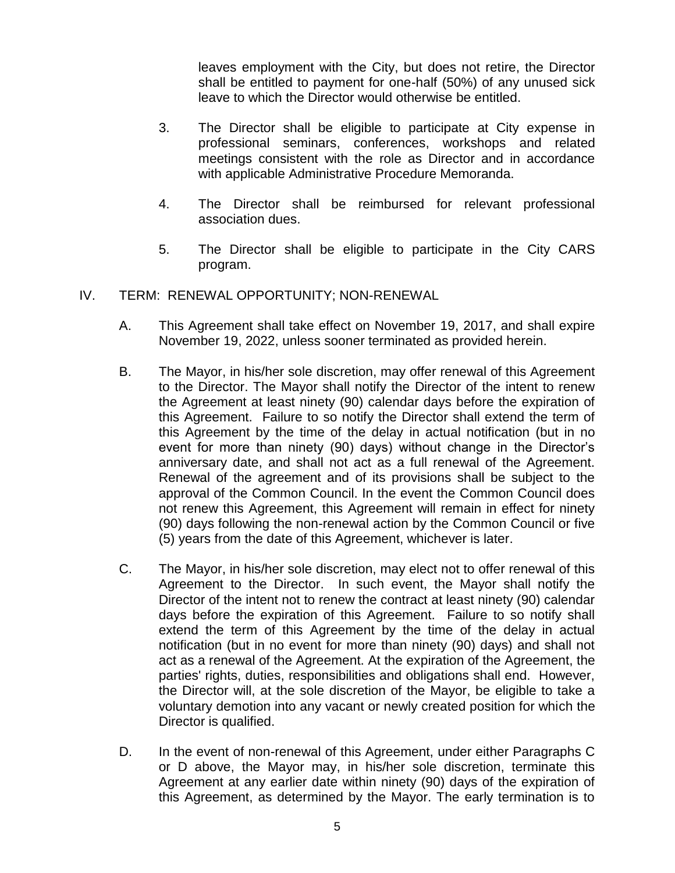leaves employment with the City, but does not retire, the Director shall be entitled to payment for one-half (50%) of any unused sick leave to which the Director would otherwise be entitled.

- 3. The Director shall be eligible to participate at City expense in professional seminars, conferences, workshops and related meetings consistent with the role as Director and in accordance with applicable Administrative Procedure Memoranda.
- 4. The Director shall be reimbursed for relevant professional association dues.
- 5. The Director shall be eligible to participate in the City CARS program.
- IV. TERM: RENEWAL OPPORTUNITY; NON-RENEWAL
	- A. This Agreement shall take effect on November 19, 2017, and shall expire November 19, 2022, unless sooner terminated as provided herein.
	- B. The Mayor, in his/her sole discretion, may offer renewal of this Agreement to the Director. The Mayor shall notify the Director of the intent to renew the Agreement at least ninety (90) calendar days before the expiration of this Agreement. Failure to so notify the Director shall extend the term of this Agreement by the time of the delay in actual notification (but in no event for more than ninety (90) days) without change in the Director's anniversary date, and shall not act as a full renewal of the Agreement. Renewal of the agreement and of its provisions shall be subject to the approval of the Common Council. In the event the Common Council does not renew this Agreement, this Agreement will remain in effect for ninety (90) days following the non-renewal action by the Common Council or five (5) years from the date of this Agreement, whichever is later.
	- C. The Mayor, in his/her sole discretion, may elect not to offer renewal of this Agreement to the Director. In such event, the Mayor shall notify the Director of the intent not to renew the contract at least ninety (90) calendar days before the expiration of this Agreement. Failure to so notify shall extend the term of this Agreement by the time of the delay in actual notification (but in no event for more than ninety (90) days) and shall not act as a renewal of the Agreement. At the expiration of the Agreement, the parties' rights, duties, responsibilities and obligations shall end. However, the Director will, at the sole discretion of the Mayor, be eligible to take a voluntary demotion into any vacant or newly created position for which the Director is qualified.
	- D. In the event of non-renewal of this Agreement, under either Paragraphs C or D above, the Mayor may, in his/her sole discretion, terminate this Agreement at any earlier date within ninety (90) days of the expiration of this Agreement, as determined by the Mayor. The early termination is to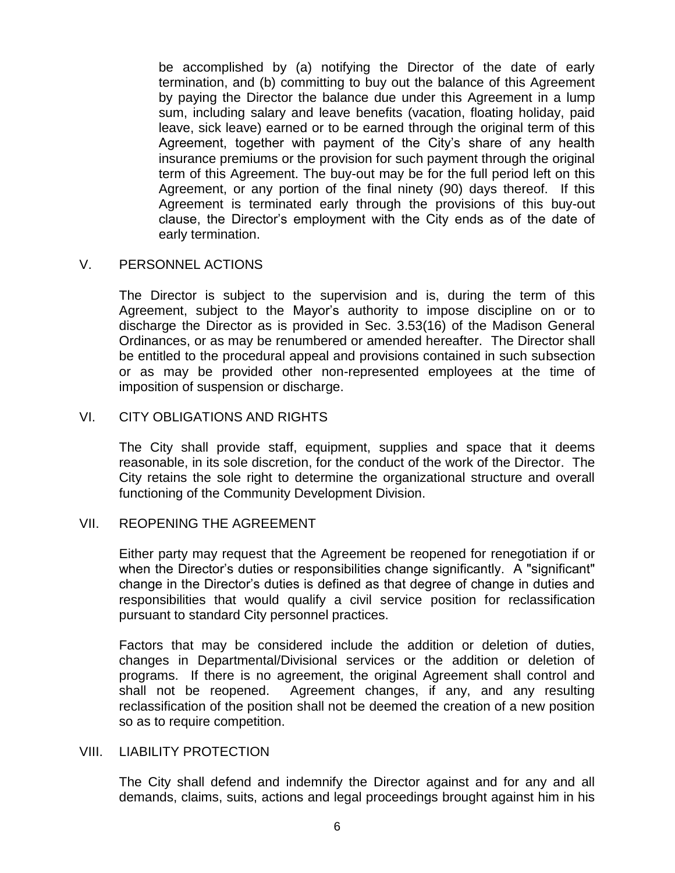be accomplished by (a) notifying the Director of the date of early termination, and (b) committing to buy out the balance of this Agreement by paying the Director the balance due under this Agreement in a lump sum, including salary and leave benefits (vacation, floating holiday, paid leave, sick leave) earned or to be earned through the original term of this Agreement, together with payment of the City's share of any health insurance premiums or the provision for such payment through the original term of this Agreement. The buy-out may be for the full period left on this Agreement, or any portion of the final ninety (90) days thereof. If this Agreement is terminated early through the provisions of this buy-out clause, the Director's employment with the City ends as of the date of early termination.

### V. PERSONNEL ACTIONS

The Director is subject to the supervision and is, during the term of this Agreement, subject to the Mayor's authority to impose discipline on or to discharge the Director as is provided in Sec. 3.53(16) of the Madison General Ordinances, or as may be renumbered or amended hereafter. The Director shall be entitled to the procedural appeal and provisions contained in such subsection or as may be provided other non-represented employees at the time of imposition of suspension or discharge.

### VI. CITY OBLIGATIONS AND RIGHTS

The City shall provide staff, equipment, supplies and space that it deems reasonable, in its sole discretion, for the conduct of the work of the Director. The City retains the sole right to determine the organizational structure and overall functioning of the Community Development Division.

# VII. REOPENING THE AGREEMENT

Either party may request that the Agreement be reopened for renegotiation if or when the Director's duties or responsibilities change significantly. A "significant" change in the Director's duties is defined as that degree of change in duties and responsibilities that would qualify a civil service position for reclassification pursuant to standard City personnel practices.

Factors that may be considered include the addition or deletion of duties, changes in Departmental/Divisional services or the addition or deletion of programs. If there is no agreement, the original Agreement shall control and shall not be reopened. Agreement changes, if any, and any resulting reclassification of the position shall not be deemed the creation of a new position so as to require competition.

# VIII. LIABILITY PROTECTION

The City shall defend and indemnify the Director against and for any and all demands, claims, suits, actions and legal proceedings brought against him in his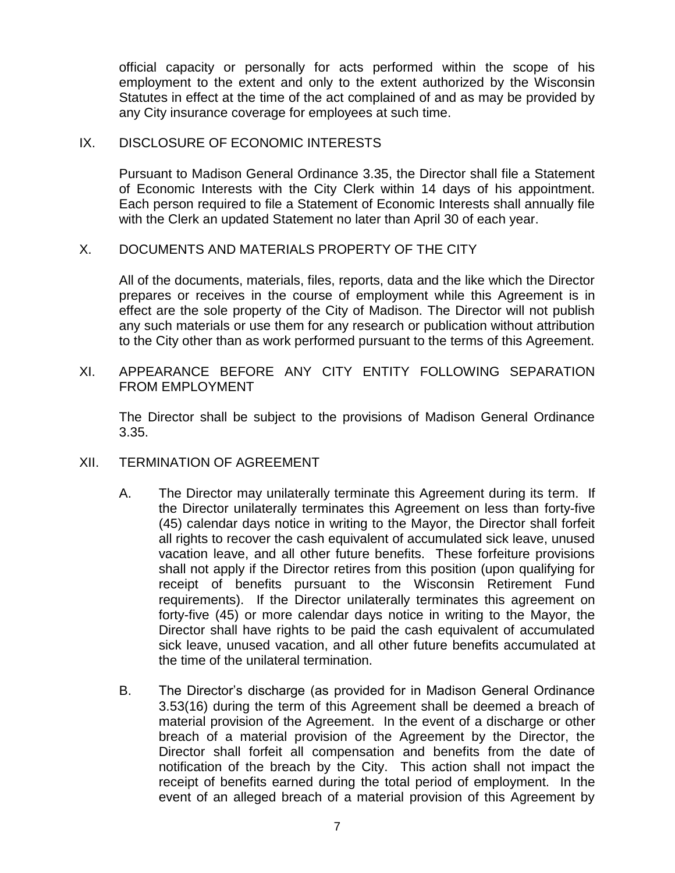official capacity or personally for acts performed within the scope of his employment to the extent and only to the extent authorized by the Wisconsin Statutes in effect at the time of the act complained of and as may be provided by any City insurance coverage for employees at such time.

## IX. DISCLOSURE OF ECONOMIC INTERESTS

Pursuant to Madison General Ordinance 3.35, the Director shall file a Statement of Economic Interests with the City Clerk within 14 days of his appointment. Each person required to file a Statement of Economic Interests shall annually file with the Clerk an updated Statement no later than April 30 of each year.

# X. DOCUMENTS AND MATERIALS PROPERTY OF THE CITY

All of the documents, materials, files, reports, data and the like which the Director prepares or receives in the course of employment while this Agreement is in effect are the sole property of the City of Madison. The Director will not publish any such materials or use them for any research or publication without attribution to the City other than as work performed pursuant to the terms of this Agreement.

# XI. APPEARANCE BEFORE ANY CITY ENTITY FOLLOWING SEPARATION FROM EMPLOYMENT

The Director shall be subject to the provisions of Madison General Ordinance 3.35.

- XII. TERMINATION OF AGREEMENT
	- A. The Director may unilaterally terminate this Agreement during its term. If the Director unilaterally terminates this Agreement on less than forty-five (45) calendar days notice in writing to the Mayor, the Director shall forfeit all rights to recover the cash equivalent of accumulated sick leave, unused vacation leave, and all other future benefits. These forfeiture provisions shall not apply if the Director retires from this position (upon qualifying for receipt of benefits pursuant to the Wisconsin Retirement Fund requirements). If the Director unilaterally terminates this agreement on forty-five (45) or more calendar days notice in writing to the Mayor, the Director shall have rights to be paid the cash equivalent of accumulated sick leave, unused vacation, and all other future benefits accumulated at the time of the unilateral termination.
	- B. The Director's discharge (as provided for in Madison General Ordinance 3.53(16) during the term of this Agreement shall be deemed a breach of material provision of the Agreement. In the event of a discharge or other breach of a material provision of the Agreement by the Director, the Director shall forfeit all compensation and benefits from the date of notification of the breach by the City. This action shall not impact the receipt of benefits earned during the total period of employment. In the event of an alleged breach of a material provision of this Agreement by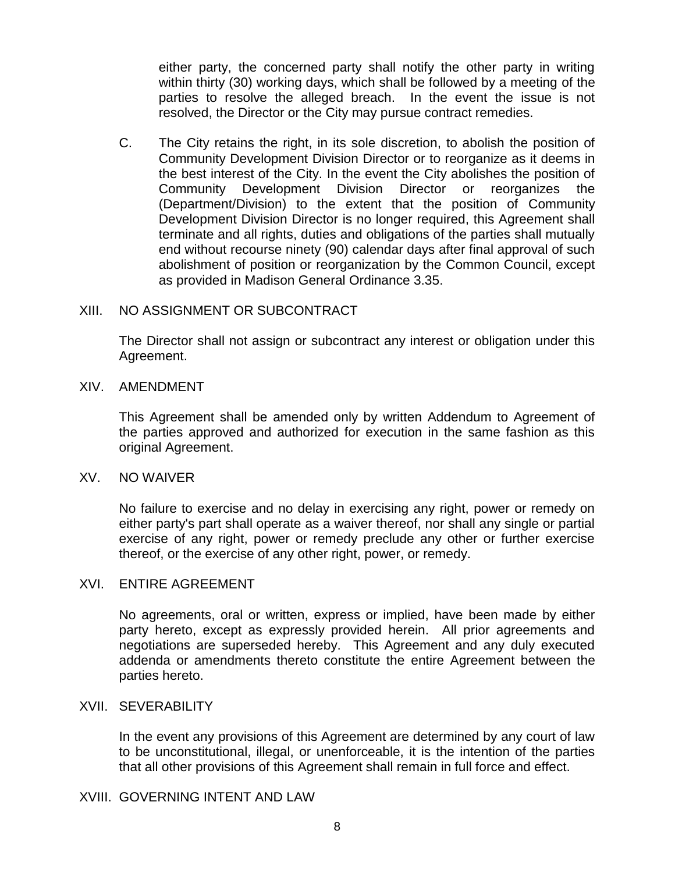either party, the concerned party shall notify the other party in writing within thirty (30) working days, which shall be followed by a meeting of the parties to resolve the alleged breach. In the event the issue is not resolved, the Director or the City may pursue contract remedies.

C. The City retains the right, in its sole discretion, to abolish the position of Community Development Division Director or to reorganize as it deems in the best interest of the City. In the event the City abolishes the position of Community Development Division Director or reorganizes the (Department/Division) to the extent that the position of Community Development Division Director is no longer required, this Agreement shall terminate and all rights, duties and obligations of the parties shall mutually end without recourse ninety (90) calendar days after final approval of such abolishment of position or reorganization by the Common Council, except as provided in Madison General Ordinance 3.35.

#### XIII. NO ASSIGNMENT OR SUBCONTRACT

The Director shall not assign or subcontract any interest or obligation under this Agreement.

#### XIV. AMENDMENT

This Agreement shall be amended only by written Addendum to Agreement of the parties approved and authorized for execution in the same fashion as this original Agreement.

#### XV. NO WAIVER

No failure to exercise and no delay in exercising any right, power or remedy on either party's part shall operate as a waiver thereof, nor shall any single or partial exercise of any right, power or remedy preclude any other or further exercise thereof, or the exercise of any other right, power, or remedy.

#### XVI. ENTIRE AGREEMENT

No agreements, oral or written, express or implied, have been made by either party hereto, except as expressly provided herein. All prior agreements and negotiations are superseded hereby. This Agreement and any duly executed addenda or amendments thereto constitute the entire Agreement between the parties hereto.

#### XVII. SEVERABILITY

In the event any provisions of this Agreement are determined by any court of law to be unconstitutional, illegal, or unenforceable, it is the intention of the parties that all other provisions of this Agreement shall remain in full force and effect.

#### XVIII. GOVERNING INTENT AND LAW